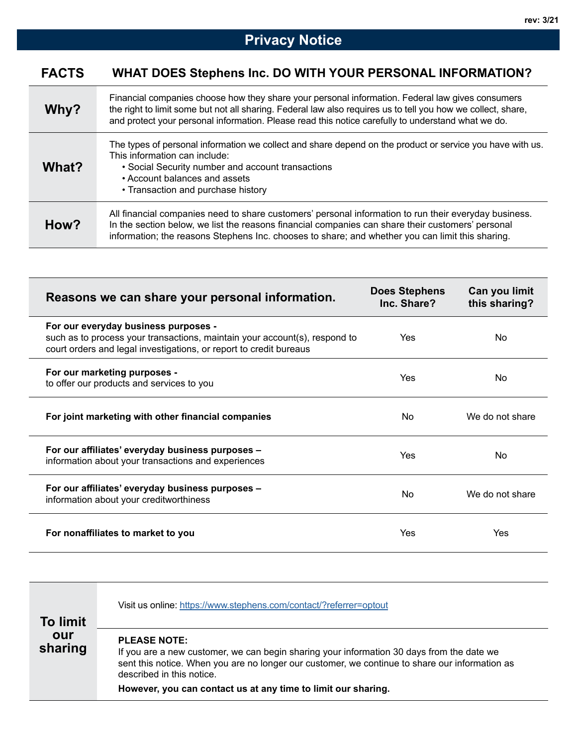| Why?  | Financial companies choose how they share your personal information. Federal law gives consumers<br>the right to limit some but not all sharing. Federal law also requires us to tell you how we collect, share,<br>and protect your personal information. Please read this notice carefully to understand what we do. |
|-------|------------------------------------------------------------------------------------------------------------------------------------------------------------------------------------------------------------------------------------------------------------------------------------------------------------------------|
| What? | The types of personal information we collect and share depend on the product or service you have with us.<br>This information can include:<br>• Social Security number and account transactions<br>• Account balances and assets<br>• Transaction and purchase history                                                 |
| How?  | All financial companies need to share customers' personal information to run their everyday business.<br>In the section below, we list the reasons financial companies can share their customers' personal<br>information; the reasons Stephens Inc. chooses to share; and whether you can limit this sharing.         |

| Reasons we can share your personal information.                                                                                                                                          | <b>Does Stephens</b><br>Inc. Share? | Can you limit<br>this sharing? |
|------------------------------------------------------------------------------------------------------------------------------------------------------------------------------------------|-------------------------------------|--------------------------------|
| For our everyday business purposes -<br>such as to process your transactions, maintain your account(s), respond to<br>court orders and legal investigations, or report to credit bureaus | Yes                                 | No.                            |
| For our marketing purposes -<br>to offer our products and services to you                                                                                                                | Yes                                 | No.                            |
| For joint marketing with other financial companies                                                                                                                                       | No.                                 | We do not share                |
| For our affiliates' everyday business purposes -<br>information about your transactions and experiences                                                                                  | Yes                                 | No                             |
| For our affiliates' everyday business purposes -<br>information about your creditworthiness                                                                                              | No.                                 | We do not share                |
| For nonaffiliates to market to you                                                                                                                                                       | Yes                                 | Yes                            |

| <b>To limit</b> | Visit us online: https://www.stephens.com/contact/?referrer=optout                                                                                                                                                                              |
|-----------------|-------------------------------------------------------------------------------------------------------------------------------------------------------------------------------------------------------------------------------------------------|
| our<br>sharing  | <b>PLEASE NOTE:</b><br>If you are a new customer, we can begin sharing your information 30 days from the date we<br>sent this notice. When you are no longer our customer, we continue to share our information as<br>described in this notice. |
|                 | However, you can contact us at any time to limit our sharing.                                                                                                                                                                                   |